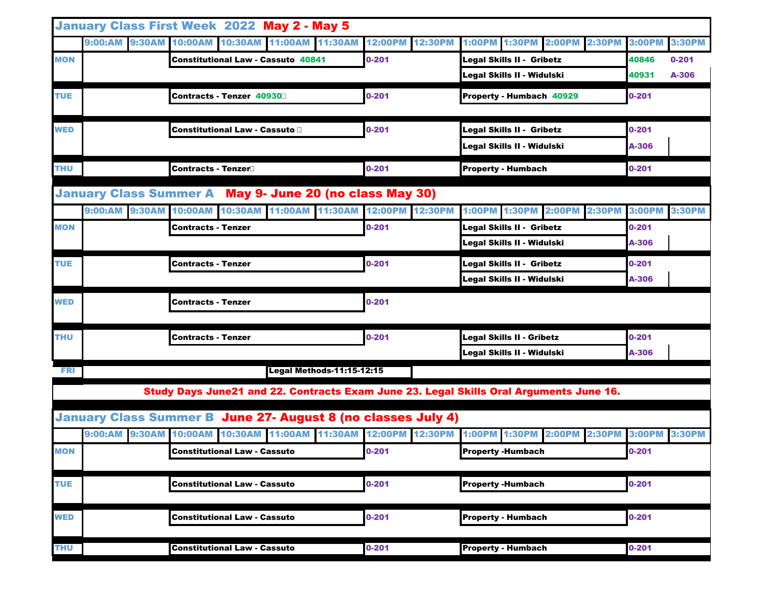| <b>January Class First Week 2022 May 2 - May 5</b>                                     |                                        |                                                               |                                  |                                                           |               |               |
|----------------------------------------------------------------------------------------|----------------------------------------|---------------------------------------------------------------|----------------------------------|-----------------------------------------------------------|---------------|---------------|
|                                                                                        | 9:00:AM<br><b>9:30AM</b>               | <b>10:00AM</b><br><b>10:30AM</b><br><b>11:00AM</b><br>11:30AM | <b>12:30PM</b><br><b>12:00PM</b> | <b>1:00PM</b><br><b>1:30PM</b><br><b>2:30PM</b><br>2:00PM | <b>3:00PM</b> | <b>3:30PM</b> |
| <b>MON</b>                                                                             |                                        | <b>Constitutional Law - Cassuto 40841</b>                     | $0 - 201$                        | Legal Skills II - Gribetz                                 | 40846         | $0 - 201$     |
|                                                                                        |                                        |                                                               |                                  | Legal Skills II - Widulski                                | 40931         | A-306         |
| <b>TUE</b>                                                                             |                                        | Contracts - Tenzer 409300                                     | $0 - 201$                        | Property - Humbach 40929                                  | $0 - 201$     |               |
|                                                                                        |                                        |                                                               |                                  |                                                           |               |               |
| <b>WED</b>                                                                             |                                        | Constitutional Law - Cassuto □                                | $0 - 201$                        | Legal Skills II - Gribetz                                 | $0 - 201$     |               |
|                                                                                        |                                        |                                                               |                                  | Legal Skills II - Widulski                                | A-306         |               |
| <b>THU</b>                                                                             |                                        | Contracts - Tenzer                                            | $0 - 201$                        | <b>Property - Humbach</b>                                 | $0 - 201$     |               |
| <b>January Class Summer A May 9- June 20 (no class May 30)</b>                         |                                        |                                                               |                                  |                                                           |               |               |
|                                                                                        | 9:00:AM                                | 10:30AM<br>11:00AM 11:30AM<br>9:30AM 10:00AM                  | 12:00PM 12:30PM                  | 1:00PM 1:30PM<br><b>2:30PM</b><br><b>2:00PM</b>           | <b>3:00PM</b> | <b>3:30PM</b> |
| <b>MON</b>                                                                             |                                        | <b>Contracts - Tenzer</b>                                     | $0 - 201$                        | <b>Legal Skills II - Gribetz</b>                          | $0 - 201$     |               |
|                                                                                        |                                        |                                                               |                                  | Legal Skills II - Widulski                                | A-306         |               |
| <b>TUE</b>                                                                             |                                        | <b>Contracts - Tenzer</b>                                     | $0 - 201$                        | Legal Skills II - Gribetz                                 | $0 - 201$     |               |
|                                                                                        |                                        |                                                               |                                  | Legal Skills II - Widulski                                | A-306         |               |
| <b>WED</b>                                                                             | $0 - 201$<br><b>Contracts - Tenzer</b> |                                                               |                                  |                                                           |               |               |
| <b>THU</b>                                                                             |                                        | <b>Contracts - Tenzer</b>                                     | $0 - 201$                        | <b>Legal Skills II - Gribetz</b>                          | $0 - 201$     |               |
|                                                                                        |                                        |                                                               |                                  | Legal Skills II - Widulski                                | A-306         |               |
| <b>FRI</b>                                                                             |                                        | <b>Legal Methods-11:15-12:15</b>                              |                                  |                                                           |               |               |
| Study Days June21 and 22. Contracts Exam June 23. Legal Skills Oral Arguments June 16. |                                        |                                                               |                                  |                                                           |               |               |
| <b>January Class Summer B June 27- August 8 (no classes July 4)</b>                    |                                        |                                                               |                                  |                                                           |               |               |
|                                                                                        | 9:00:AM                                | 9:30AM 10:00AM 10:30AM 11:00AM 11:30AM 12:00PM 12:30PM        |                                  | 1:00PM 1:30PM 2:00PM<br>2:30PM 3:00PM                     |               | <b>3:30PM</b> |
| <b>MON</b>                                                                             |                                        | <b>Constitutional Law - Cassuto</b>                           | $0 - 201$                        | Property -Humbach                                         | $0 - 201$     |               |
|                                                                                        |                                        |                                                               |                                  |                                                           |               |               |
| <b>TUE</b>                                                                             |                                        | <b>Constitutional Law - Cassuto</b>                           | $0 - 201$                        | <b>Property -Humbach</b>                                  | $0 - 201$     |               |
| <b>WED</b>                                                                             |                                        | <b>Constitutional Law - Cassuto</b>                           | $0 - 201$                        | <b>Property - Humbach</b>                                 | $0 - 201$     |               |
|                                                                                        |                                        |                                                               |                                  |                                                           |               |               |
| <b>THU</b>                                                                             |                                        | <b>Constitutional Law - Cassuto</b>                           | $0 - 201$                        | <b>Property - Humbach</b>                                 | $0 - 201$     |               |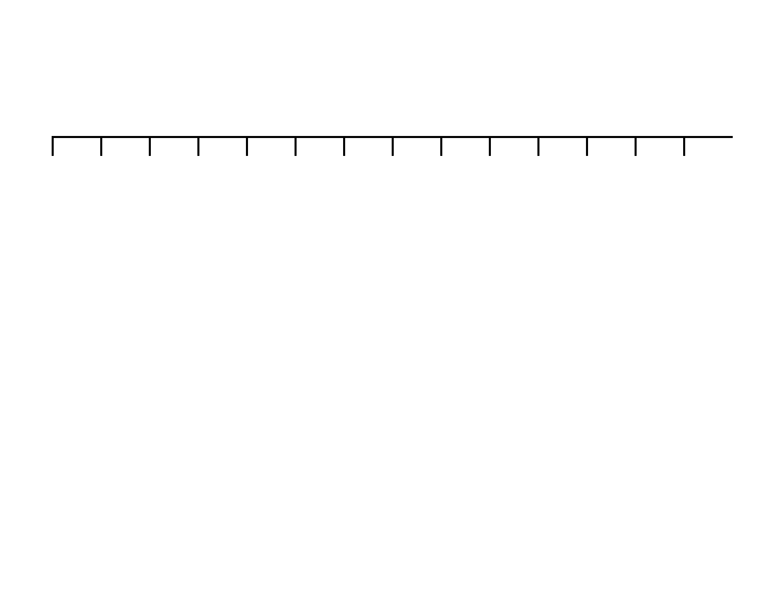